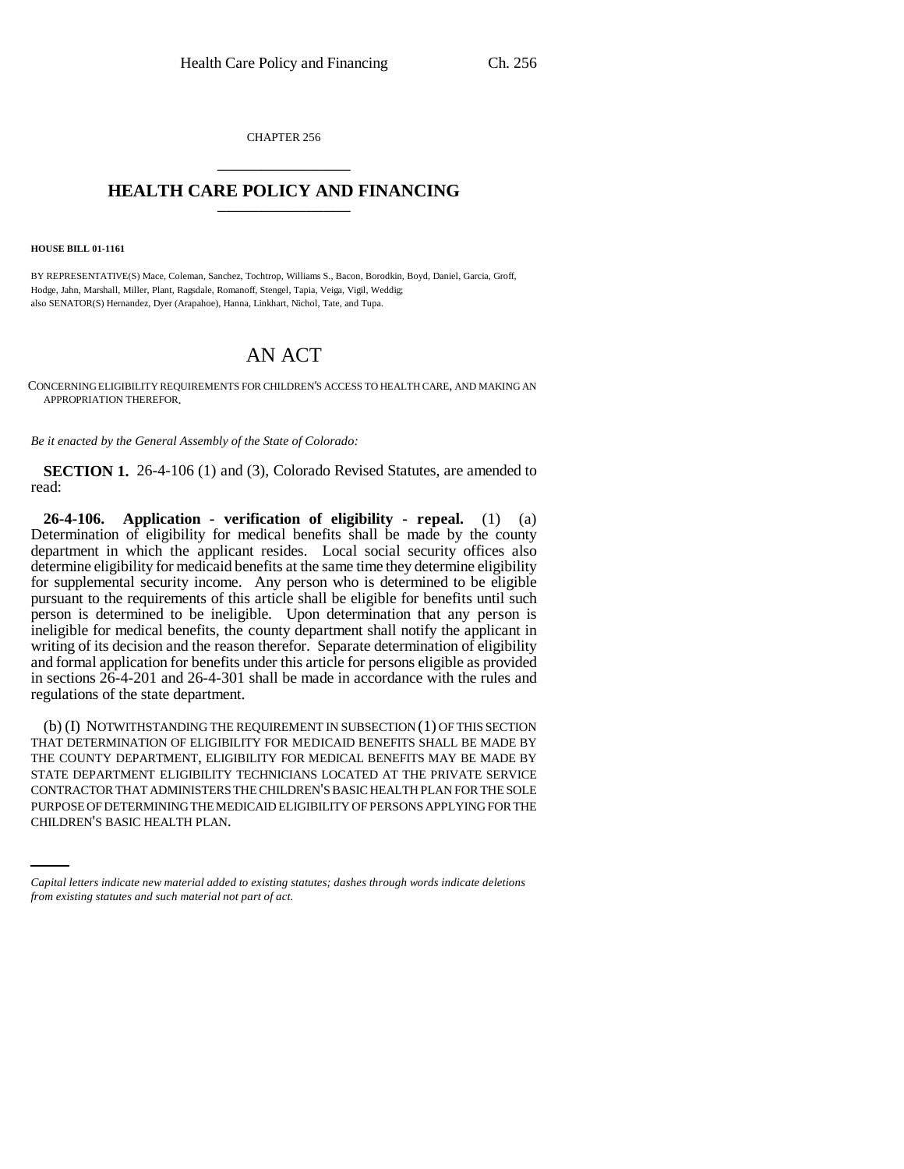CHAPTER 256 \_\_\_\_\_\_\_\_\_\_\_\_\_\_\_

## **HEALTH CARE POLICY AND FINANCING** \_\_\_\_\_\_\_\_\_\_\_\_\_\_\_

**HOUSE BILL 01-1161**

BY REPRESENTATIVE(S) Mace, Coleman, Sanchez, Tochtrop, Williams S., Bacon, Borodkin, Boyd, Daniel, Garcia, Groff, Hodge, Jahn, Marshall, Miller, Plant, Ragsdale, Romanoff, Stengel, Tapia, Veiga, Vigil, Weddig; also SENATOR(S) Hernandez, Dyer (Arapahoe), Hanna, Linkhart, Nichol, Tate, and Tupa.

## AN ACT

CONCERNING ELIGIBILITY REQUIREMENTS FOR CHILDREN'S ACCESS TO HEALTH CARE, AND MAKING AN APPROPRIATION THEREFOR.

*Be it enacted by the General Assembly of the State of Colorado:*

**SECTION 1.** 26-4-106 (1) and (3), Colorado Revised Statutes, are amended to read:

**26-4-106. Application - verification of eligibility - repeal.** (1) (a) Determination of eligibility for medical benefits shall be made by the county department in which the applicant resides. Local social security offices also determine eligibility for medicaid benefits at the same time they determine eligibility for supplemental security income. Any person who is determined to be eligible pursuant to the requirements of this article shall be eligible for benefits until such person is determined to be ineligible. Upon determination that any person is ineligible for medical benefits, the county department shall notify the applicant in writing of its decision and the reason therefor. Separate determination of eligibility and formal application for benefits under this article for persons eligible as provided in sections 26-4-201 and 26-4-301 shall be made in accordance with the rules and regulations of the state department.

CONTRACTOR THAT ADMINISTERS THE CHILDREN'S BASIC HEALTH PLAN FOR THE SOLE (b) (I) NOTWITHSTANDING THE REQUIREMENT IN SUBSECTION (1) OF THIS SECTION THAT DETERMINATION OF ELIGIBILITY FOR MEDICAID BENEFITS SHALL BE MADE BY THE COUNTY DEPARTMENT, ELIGIBILITY FOR MEDICAL BENEFITS MAY BE MADE BY STATE DEPARTMENT ELIGIBILITY TECHNICIANS LOCATED AT THE PRIVATE SERVICE PURPOSE OF DETERMINING THE MEDICAID ELIGIBILITY OF PERSONS APPLYING FOR THE CHILDREN'S BASIC HEALTH PLAN.

*Capital letters indicate new material added to existing statutes; dashes through words indicate deletions from existing statutes and such material not part of act.*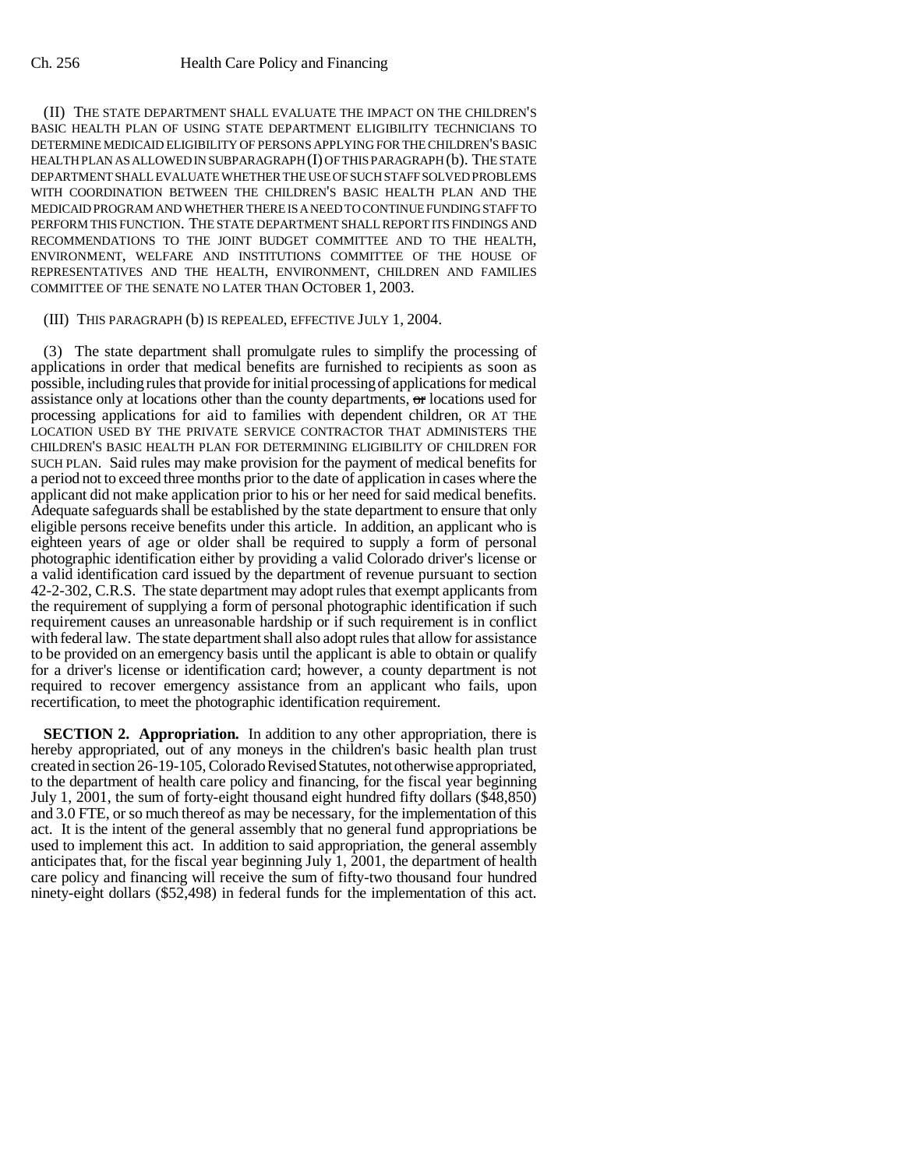(II) THE STATE DEPARTMENT SHALL EVALUATE THE IMPACT ON THE CHILDREN'S BASIC HEALTH PLAN OF USING STATE DEPARTMENT ELIGIBILITY TECHNICIANS TO DETERMINE MEDICAID ELIGIBILITY OF PERSONS APPLYING FOR THE CHILDREN'S BASIC HEALTH PLAN AS ALLOWED IN SUBPARAGRAPH (I) OF THIS PARAGRAPH (b). THE STATE DEPARTMENT SHALL EVALUATE WHETHER THE USE OF SUCH STAFF SOLVED PROBLEMS WITH COORDINATION BETWEEN THE CHILDREN'S BASIC HEALTH PLAN AND THE MEDICAID PROGRAM AND WHETHER THERE IS A NEED TO CONTINUE FUNDING STAFF TO PERFORM THIS FUNCTION. THE STATE DEPARTMENT SHALL REPORT ITS FINDINGS AND RECOMMENDATIONS TO THE JOINT BUDGET COMMITTEE AND TO THE HEALTH, ENVIRONMENT, WELFARE AND INSTITUTIONS COMMITTEE OF THE HOUSE OF REPRESENTATIVES AND THE HEALTH, ENVIRONMENT, CHILDREN AND FAMILIES COMMITTEE OF THE SENATE NO LATER THAN OCTOBER 1, 2003.

## (III) THIS PARAGRAPH (b) IS REPEALED, EFFECTIVE JULY 1, 2004.

(3) The state department shall promulgate rules to simplify the processing of applications in order that medical benefits are furnished to recipients as soon as possible, including rules that provide for initial processing of applications for medical assistance only at locations other than the county departments, or locations used for processing applications for aid to families with dependent children, OR AT THE LOCATION USED BY THE PRIVATE SERVICE CONTRACTOR THAT ADMINISTERS THE CHILDREN'S BASIC HEALTH PLAN FOR DETERMINING ELIGIBILITY OF CHILDREN FOR SUCH PLAN. Said rules may make provision for the payment of medical benefits for a period not to exceed three months prior to the date of application in cases where the applicant did not make application prior to his or her need for said medical benefits. Adequate safeguards shall be established by the state department to ensure that only eligible persons receive benefits under this article. In addition, an applicant who is eighteen years of age or older shall be required to supply a form of personal photographic identification either by providing a valid Colorado driver's license or a valid identification card issued by the department of revenue pursuant to section 42-2-302, C.R.S. The state department may adopt rules that exempt applicants from the requirement of supplying a form of personal photographic identification if such requirement causes an unreasonable hardship or if such requirement is in conflict with federal law. The state department shall also adopt rules that allow for assistance to be provided on an emergency basis until the applicant is able to obtain or qualify for a driver's license or identification card; however, a county department is not required to recover emergency assistance from an applicant who fails, upon recertification, to meet the photographic identification requirement.

**SECTION 2. Appropriation.** In addition to any other appropriation, there is hereby appropriated, out of any moneys in the children's basic health plan trust created in section 26-19-105, Colorado Revised Statutes, not otherwise appropriated, to the department of health care policy and financing, for the fiscal year beginning July 1, 2001, the sum of forty-eight thousand eight hundred fifty dollars (\$48,850) and 3.0 FTE, or so much thereof as may be necessary, for the implementation of this act. It is the intent of the general assembly that no general fund appropriations be used to implement this act. In addition to said appropriation, the general assembly anticipates that, for the fiscal year beginning July 1, 2001, the department of health care policy and financing will receive the sum of fifty-two thousand four hundred ninety-eight dollars (\$52,498) in federal funds for the implementation of this act.